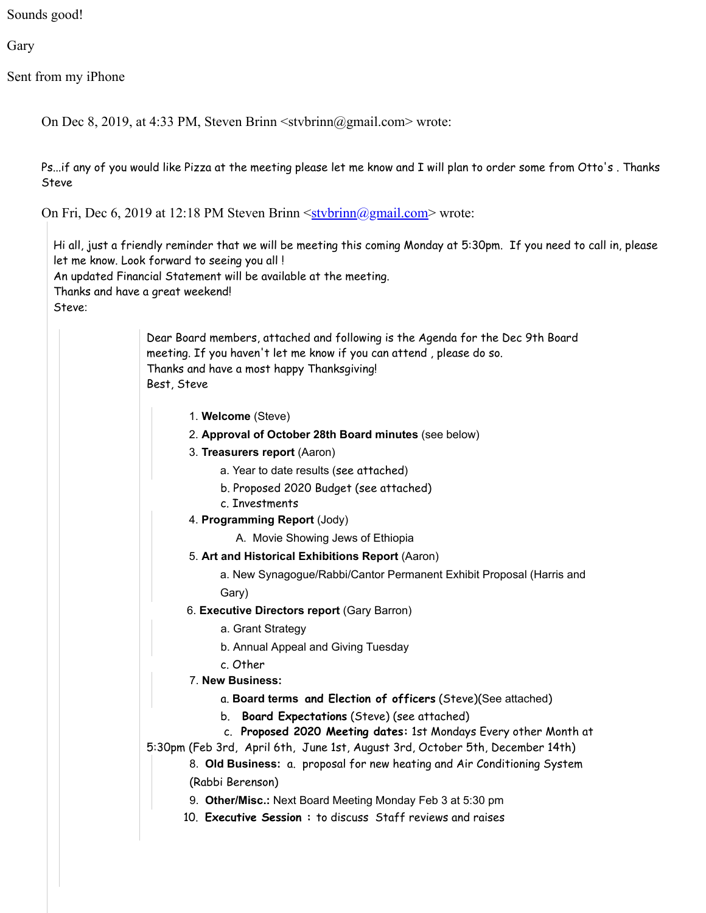Sounds good!

Gary

Sent from my iPhone

On Dec 8, 2019, at 4:33 PM, Steven Brinn <stvbrinn@gmail.com> wrote:

Ps...if any of you would like Pizza at the meeting please let me know and I will plan to order some from Otto's . Thanks Steve

On Fri, Dec 6, 2019 at 12:18 PM Steven Brinn  $\leq$ stvbrinn $\circ$ @gmail.com> wrote:

Hi all, just a friendly reminder that we will be meeting this coming Monday at 5:30pm. If you need to call in, please let me know. Look forward to seeing you all ! An updated Financial Statement will be available at the meeting. Thanks and have a great weekend! Steve:

> Dear Board members, attached and following is the Agenda for the Dec 9th Board meeting. If you haven't let me know if you can attend , please do so. Thanks and have a most happy Thanksgiving! Best, Steve

- 1. **Welcome** (Steve)
- 2. **Approval of October 28th Board minutes** (see below)
- 3. **Treasurers report** (Aaron)
	- a. Year to date results (see attached)
	- b. Proposed 2020 Budget (see attached)
	- c. Investments
- 4. **Programming Report** (Jody)
	- A. Movie Showing Jews of Ethiopia
- 5. **Art and Historical Exhibitions Report** (Aaron)

a. New Synagogue/Rabbi/Cantor Permanent Exhibit Proposal (Harris and Gary)

- 6. **Executive Directors report** (Gary Barron)
	- a. Grant Strategy
	- b. Annual Appeal and Giving Tuesday
	- c. Other
- 7. **New Business:** 
	- a. **Board terms and Election of officers** (Steve)(See attached)
	- b.  **Board Expectations** (Steve) (see attached)
- c.  **Proposed 2020 Meeting dates:** 1st Mondays Every other Month at

5:30pm (Feb 3rd, April 6th, June 1st, August 3rd, October 5th, December 14th)

8. **Old Business:** a. proposal for new heating and Air Conditioning System (Rabbi Berenson)

- 9. **Other/Misc.:** Next Board Meeting Monday Feb 3 at 5:30 pm
- 10. **Executive Session :** to discuss Staff reviews and raises